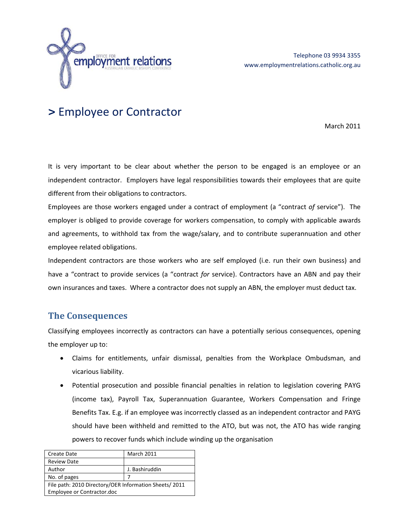

# **>** Employee or Contractor

March 2011

It is very important to be clear about whether the person to be engaged is an employee or an independent contractor. Employers have legal responsibilities towards their employees that are quite different from their obligations to contractors.

Employees are those workers engaged under a contract of employment (a "contract *of* service"). The employer is obliged to provide coverage for workers compensation, to comply with applicable awards and agreements, to withhold tax from the wage/salary, and to contribute superannuation and other employee related obligations.

Independent contractors are those workers who are self employed (i.e. run their own business) and have a "contract to provide services (a "contract *for* service). Contractors have an ABN and pay their own insurances and taxes. Where a contractor does not supply an ABN, the employer must deduct tax.

### **The Consequences**

Classifying employees incorrectly as contractors can have a potentially serious consequences, opening the employer up to:

- Claims for entitlements, unfair dismissal, penalties from the Workplace Ombudsman, and vicarious liability.
- Potential prosecution and possible financial penalties in relation to legislation covering PAYG (income tax), Payroll Tax, Superannuation Guarantee, Workers Compensation and Fringe Benefits Tax. E.g. if an employee was incorrectly classed as an independent contractor and PAYG should have been withheld and remitted to the ATO, but was not, the ATO has wide ranging powers to recover funds which include winding up the organisation

| Create Date                                            | <b>March 2011</b> |  |
|--------------------------------------------------------|-------------------|--|
| <b>Review Date</b>                                     |                   |  |
| Author                                                 | J. Bashiruddin    |  |
| No. of pages                                           |                   |  |
| File path: 2010 Directory/OER Information Sheets/ 2011 |                   |  |
| Employee or Contractor.doc                             |                   |  |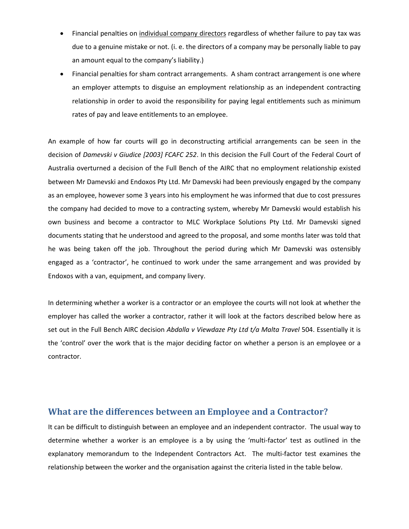- Financial penalties on individual company directors regardless of whether failure to pay tax was due to a genuine mistake or not. (i. e. the directors of a company may be personally liable to pay an amount equal to the company's liability.)
- Financial penalties for sham contract arrangements. A sham contract arrangement is one where an employer attempts to disguise an employment relationship as an independent contracting relationship in order to avoid the responsibility for paying legal entitlements such as minimum rates of pay and leave entitlements to an employee.

An example of how far courts will go in deconstructing artificial arrangements can be seen in the decision of *Damevski v Giudice [2003] FCAFC 252*. In this decision the Full Court of the Federal Court of Australia overturned a decision of the Full Bench of the AIRC that no employment relationship existed between Mr Damevski and Endoxos Pty Ltd. Mr Damevski had been previously engaged by the company as an employee, however some 3 years into his employment he was informed that due to cost pressures the company had decided to move to a contracting system, whereby Mr Damevski would establish his own business and become a contractor to MLC Workplace Solutions Pty Ltd. Mr Damevski signed documents stating that he understood and agreed to the proposal, and some months later was told that he was being taken off the job. Throughout the period during which Mr Damevski was ostensibly engaged as a 'contractor', he continued to work under the same arrangement and was provided by Endoxos with a van, equipment, and company livery.

In determining whether a worker is a contractor or an employee the courts will not look at whether the employer has called the worker a contractor, rather it will look at the factors described below here as set out in the Full Bench AIRC decision *Abdalla v Viewdaze Pty Ltd t/a Malta Travel* 504. Essentially it is the 'control' over the work that is the major deciding factor on whether a person is an employee or a contractor.

#### **What are the differences between an Employee and a Contractor?**

It can be difficult to distinguish between an employee and an independent contractor. The usual way to determine whether a worker is an employee is a by using the 'multi-factor' test as outlined in the explanatory memorandum to the Independent Contractors Act. The multi-factor test examines the relationship between the worker and the organisation against the criteria listed in the table below.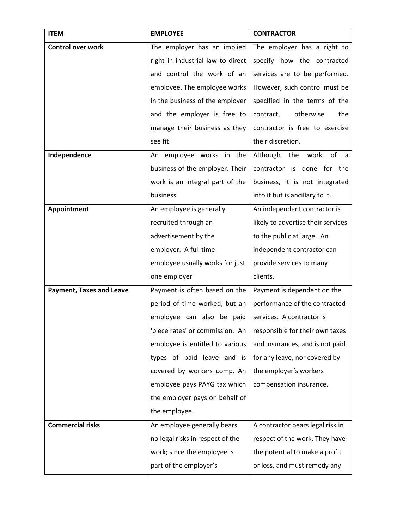| <b>ITEM</b>                     | <b>EMPLOYEE</b>                   | <b>CONTRACTOR</b>                  |
|---------------------------------|-----------------------------------|------------------------------------|
| <b>Control over work</b>        | The employer has an implied       | The employer has a right to        |
|                                 | right in industrial law to direct | specify how the contracted         |
|                                 | and control the work of an        | services are to be performed.      |
|                                 | employee. The employee works      | However, such control must be      |
|                                 | in the business of the employer   | specified in the terms of the      |
|                                 | and the employer is free to       | contract,<br>otherwise<br>the      |
|                                 | manage their business as they     | contractor is free to exercise     |
|                                 | see fit.                          | their discretion.                  |
| Independence                    | An employee works in the          | of<br>Although<br>work<br>the<br>a |
|                                 | business of the employer. Their   | contractor is done for the         |
|                                 | work is an integral part of the   | business, it is not integrated     |
|                                 | business.                         | into it but is ancillary to it.    |
| Appointment                     | An employee is generally          | An independent contractor is       |
|                                 | recruited through an              | likely to advertise their services |
|                                 | advertisement by the              | to the public at large. An         |
|                                 | employer. A full time             | independent contractor can         |
|                                 | employee usually works for just   | provide services to many           |
|                                 | one employer                      | clients.                           |
| <b>Payment, Taxes and Leave</b> | Payment is often based on the     | Payment is dependent on the        |
|                                 | period of time worked, but an     | performance of the contracted      |
|                                 | employee can also be paid         | services. A contractor is          |
|                                 | 'piece rates' or commission. An   | responsible for their own taxes    |
|                                 | employee is entitled to various   | and insurances, and is not paid    |
|                                 | types of paid leave and is        | for any leave, nor covered by      |
|                                 | covered by workers comp. An       | the employer's workers             |
|                                 | employee pays PAYG tax which      | compensation insurance.            |
|                                 | the employer pays on behalf of    |                                    |
|                                 | the employee.                     |                                    |
| <b>Commercial risks</b>         | An employee generally bears       | A contractor bears legal risk in   |
|                                 | no legal risks in respect of the  | respect of the work. They have     |
|                                 | work; since the employee is       | the potential to make a profit     |
|                                 | part of the employer's            | or loss, and must remedy any       |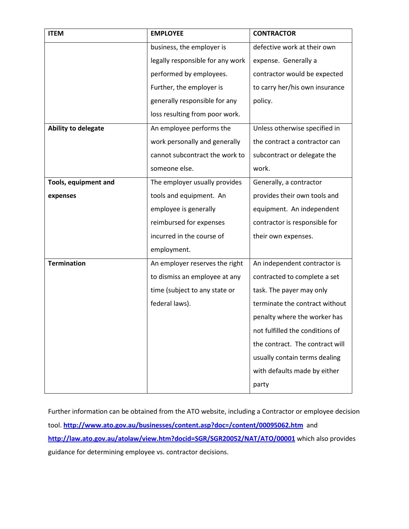| <b>ITEM</b>                | <b>EMPLOYEE</b>                  | <b>CONTRACTOR</b>               |
|----------------------------|----------------------------------|---------------------------------|
|                            | business, the employer is        | defective work at their own     |
|                            | legally responsible for any work | expense. Generally a            |
|                            | performed by employees.          | contractor would be expected    |
|                            | Further, the employer is         | to carry her/his own insurance  |
|                            | generally responsible for any    | policy.                         |
|                            | loss resulting from poor work.   |                                 |
| <b>Ability to delegate</b> | An employee performs the         | Unless otherwise specified in   |
|                            | work personally and generally    | the contract a contractor can   |
|                            | cannot subcontract the work to   | subcontract or delegate the     |
|                            | someone else.                    | work.                           |
| Tools, equipment and       | The employer usually provides    | Generally, a contractor         |
| expenses                   | tools and equipment. An          | provides their own tools and    |
|                            | employee is generally            | equipment. An independent       |
|                            | reimbursed for expenses          | contractor is responsible for   |
|                            | incurred in the course of        | their own expenses.             |
|                            | employment.                      |                                 |
| <b>Termination</b>         | An employer reserves the right   | An independent contractor is    |
|                            | to dismiss an employee at any    | contracted to complete a set    |
|                            | time (subject to any state or    | task. The payer may only        |
|                            | federal laws).                   | terminate the contract without  |
|                            |                                  | penalty where the worker has    |
|                            |                                  | not fulfilled the conditions of |
|                            |                                  | the contract. The contract will |
|                            |                                  | usually contain terms dealing   |
|                            |                                  | with defaults made by either    |
|                            |                                  | party                           |

Further information can be obtained from the ATO website, including a Contractor or employee decision tool. **<http://www.ato.gov.au/businesses/content.asp?doc=/content/00095062.htm>** and **<http://law.ato.gov.au/atolaw/view.htm?docid=SGR/SGR20052/NAT/ATO/00001>** which also provides guidance for determining employee vs. contractor decisions.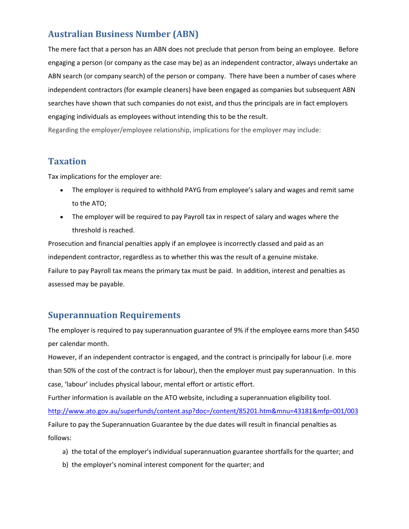# **Australian Business Number (ABN)**

The mere fact that a person has an ABN does not preclude that person from being an employee. Before engaging a person (or company as the case may be) as an independent contractor, always undertake an ABN search (or company search) of the person or company. There have been a number of cases where independent contractors (for example cleaners) have been engaged as companies but subsequent ABN searches have shown that such companies do not exist, and thus the principals are in fact employers engaging individuals as employees without intending this to be the result.

Regarding the employer/employee relationship, implications for the employer may include:

## **Taxation**

Tax implications for the employer are:

- The employer is required to withhold PAYG from employee's salary and wages and remit same to the ATO;
- The employer will be required to pay Payroll tax in respect of salary and wages where the threshold is reached.

Prosecution and financial penalties apply if an employee is incorrectly classed and paid as an independent contractor, regardless as to whether this was the result of a genuine mistake. Failure to pay Payroll tax means the primary tax must be paid. In addition, interest and penalties as assessed may be payable.

# **Superannuation Requirements**

The employer is required to pay superannuation guarantee of 9% if the employee earns more than \$450 per calendar month.

However, if an independent contractor is engaged, and the contract is principally for labour (i.e. more than 50% of the cost of the contract is for labour), then the employer must pay superannuation. In this case, 'labour' includes physical labour, mental effort or artistic effort.

Further information is available on the ATO website, including a superannuation eligibility tool. <http://www.ato.gov.au/superfunds/content.asp?doc=/content/85201.htm&mnu=43181&mfp=001/003> Failure to pay the Superannuation Guarantee by the due dates will result in financial penalties as follows:

- a) the total of the employer's individual superannuation guarantee shortfalls for the quarter; and
- b) the employer's nominal interest component for the quarter; and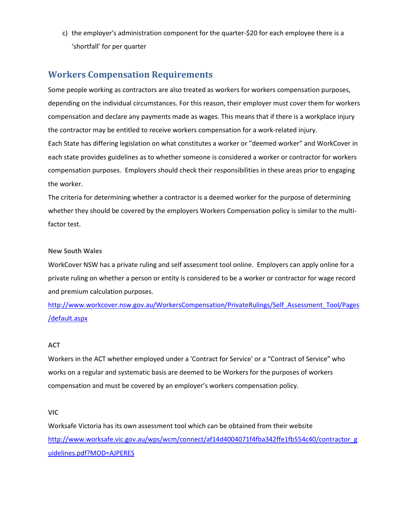c) the employer's administration component for the quarter-\$20 for each employee there is a 'shortfall' for per quarter

## **Workers Compensation Requirements**

Some people working as contractors are also treated as workers for workers compensation purposes, depending on the individual circumstances. For this reason, their employer must cover them for workers compensation and declare any payments made as wages. This means that if there is a workplace injury the contractor may be entitled to receive workers compensation for a work-related injury. Each State has differing legislation on what constitutes a worker or "deemed worker" and WorkCover in each state provides guidelines as to whether someone is considered a worker or contractor for workers compensation purposes. Employers should check their responsibilities in these areas prior to engaging the worker.

The criteria for determining whether a contractor is a deemed worker for the purpose of determining whether they should be covered by the employers Workers Compensation policy is similar to the multifactor test.

#### **New South Wales**

WorkCover NSW has a private ruling and self assessment tool online. Employers can apply online for a private ruling on whether a person or entity is considered to be a worker or contractor for wage record and premium calculation purposes.

[http://www.workcover.nsw.gov.au/WorkersCompensation/PrivateRulings/Self\\_Assessment\\_Tool/Pages](http://www.workcover.nsw.gov.au/WorkersCompensation/PrivateRulings/Self_Assessment_Tool/Pages/default.aspx) [/default.aspx](http://www.workcover.nsw.gov.au/WorkersCompensation/PrivateRulings/Self_Assessment_Tool/Pages/default.aspx)

#### **ACT**

Workers in the ACT whether employed under a 'Contract for Service' or a "Contract of Service" who works on a regular and systematic basis are deemed to be Workers for the purposes of workers compensation and must be covered by an employer's workers compensation policy.

#### **VIC**

Worksafe Victoria has its own assessment tool which can be obtained from their website [http://www.worksafe.vic.gov.au/wps/wcm/connect/af14d4004071f4fba342ffe1fb554c40/contractor\\_g](http://www.worksafe.vic.gov.au/wps/wcm/connect/af14d4004071f4fba342ffe1fb554c40/contractor_guidelines.pdf?MOD=AJPERES) [uidelines.pdf?MOD=AJPERES](http://www.worksafe.vic.gov.au/wps/wcm/connect/af14d4004071f4fba342ffe1fb554c40/contractor_guidelines.pdf?MOD=AJPERES)